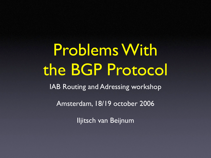# Problems With the BGP Protocol

IAB Routing and Adressing workshop

Amsterdam, 18/19 october 2006

Iljitsch van Beijnum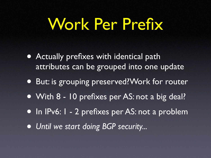# Work Per Prefix

- Actually prefixes with identical path attributes can be grouped into one update
- But: is grouping preserved?Work for router
- With 8 10 prefixes per AS: not a big deal?
- In IPv6: I 2 prefixes per AS: not a problem
- *Until we start doing BGP security...*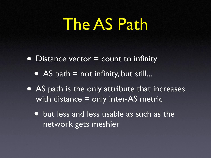# The AS Path

• Distance vector = count to infinity

- AS path  $=$  not infinity, but still...
- AS path is the only attribute that increases with distance = only inter-AS metric
	- but less and less usable as such as the network gets meshier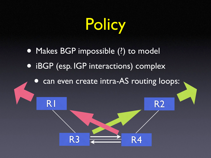Policy

• Makes BGP impossible (?) to model • iBGP (esp. IGP interactions) complex

R1

can even create intra-AS routing loops:

R2

 $R3 =$  R4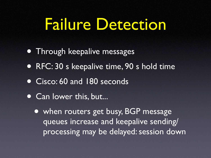### Failure Detection

- Through keepalive messages
- RFC: 30 s keepalive time, 90 s hold time
- Cisco: 60 and 180 seconds
- Can lower this, but...
	- when routers get busy, BGP message queues increase and keepalive sending/ processing may be delayed: session down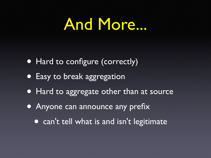### And More...

- Hard to configure (correctly)
- Easy to break aggregation
- Hard to aggregate other than at source
- Anyone can announce any prefix
	- can't tell what is and isn't legitimate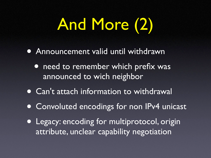# And More (2)

- Announcement valid until withdrawn
	- **need to remember which prefix was** announced to wich neighbor
- Can't attach information to withdrawal
- **Convoluted encodings for non IPv4 unicast**
- Legacy: encoding for multiprotocol, origin attribute, unclear capability negotiation